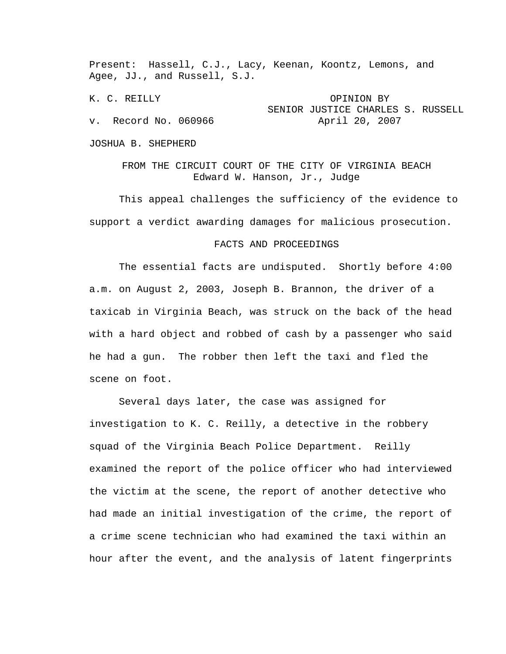Present: Hassell, C.J., Lacy, Keenan, Koontz, Lemons, and Agee, JJ., and Russell, S.J.

K. C. REILLY OPINION BY SENIOR JUSTICE CHARLES S. RUSSELL v. Record No. 060966 April 20, 2007

JOSHUA B. SHEPHERD

FROM THE CIRCUIT COURT OF THE CITY OF VIRGINIA BEACH Edward W. Hanson, Jr., Judge

 This appeal challenges the sufficiency of the evidence to support a verdict awarding damages for malicious prosecution.

## FACTS AND PROCEEDINGS

 The essential facts are undisputed. Shortly before 4:00 a.m. on August 2, 2003, Joseph B. Brannon, the driver of a taxicab in Virginia Beach, was struck on the back of the head with a hard object and robbed of cash by a passenger who said he had a gun. The robber then left the taxi and fled the scene on foot.

 Several days later, the case was assigned for investigation to K. C. Reilly, a detective in the robbery squad of the Virginia Beach Police Department. Reilly examined the report of the police officer who had interviewed the victim at the scene, the report of another detective who had made an initial investigation of the crime, the report of a crime scene technician who had examined the taxi within an hour after the event, and the analysis of latent fingerprints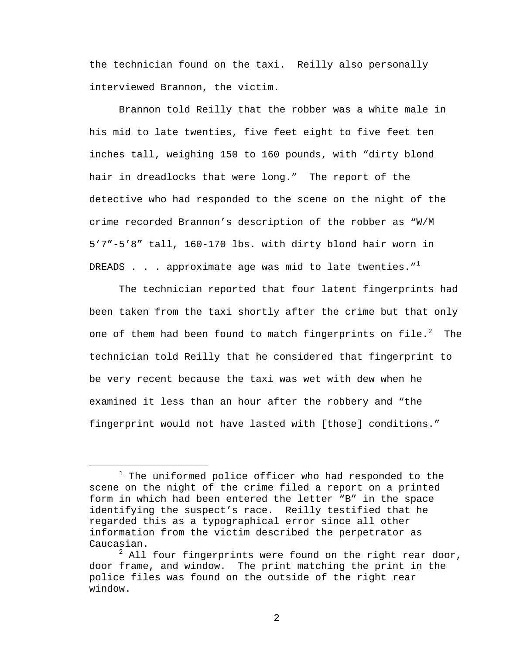the technician found on the taxi. Reilly also personally interviewed Brannon, the victim.

 Brannon told Reilly that the robber was a white male in his mid to late twenties, five feet eight to five feet ten inches tall, weighing 150 to 160 pounds, with "dirty blond hair in dreadlocks that were long." The report of the detective who had responded to the scene on the night of the crime recorded Brannon's description of the robber as "W/M 5'7"-5'8" tall, 160-170 lbs. with dirty blond hair worn in DREADS . . . approximate age was mid to late twenties. $"$ <sup>1</sup>

 The technician reported that four latent fingerprints had been taken from the taxi shortly after the crime but that only one of them had been found to match fingerprints on file. $^2$  The technician told Reilly that he considered that fingerprint to be very recent because the taxi was wet with dew when he examined it less than an hour after the robbery and "the fingerprint would not have lasted with [those] conditions."

<sup>&</sup>lt;u>1</u>  $1$  The uniformed police officer who had responded to the scene on the night of the crime filed a report on a printed form in which had been entered the letter "B" in the space identifying the suspect's race. Reilly testified that he regarded this as a typographical error since all other information from the victim described the perpetrator as Caucasian.

 $^2$  All four fingerprints were found on the right rear door, door frame, and window. The print matching the print in the police files was found on the outside of the right rear window.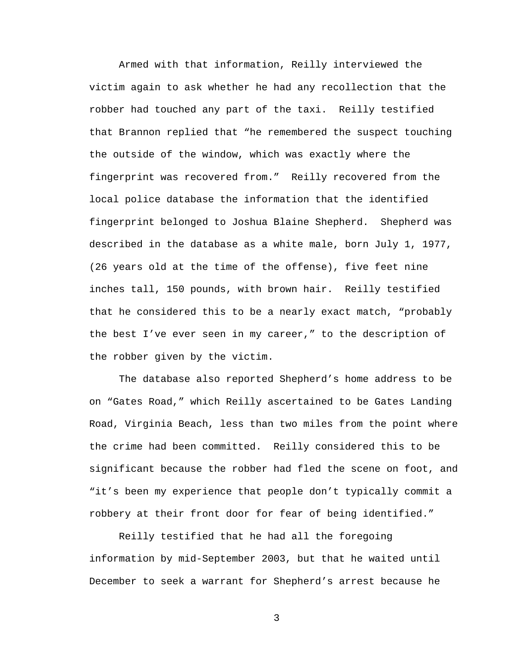Armed with that information, Reilly interviewed the victim again to ask whether he had any recollection that the robber had touched any part of the taxi. Reilly testified that Brannon replied that "he remembered the suspect touching the outside of the window, which was exactly where the fingerprint was recovered from." Reilly recovered from the local police database the information that the identified fingerprint belonged to Joshua Blaine Shepherd. Shepherd was described in the database as a white male, born July 1, 1977, (26 years old at the time of the offense), five feet nine inches tall, 150 pounds, with brown hair. Reilly testified that he considered this to be a nearly exact match, "probably the best I've ever seen in my career," to the description of the robber given by the victim.

 The database also reported Shepherd's home address to be on "Gates Road," which Reilly ascertained to be Gates Landing Road, Virginia Beach, less than two miles from the point where the crime had been committed. Reilly considered this to be significant because the robber had fled the scene on foot, and "it's been my experience that people don't typically commit a robbery at their front door for fear of being identified."

 Reilly testified that he had all the foregoing information by mid-September 2003, but that he waited until December to seek a warrant for Shepherd's arrest because he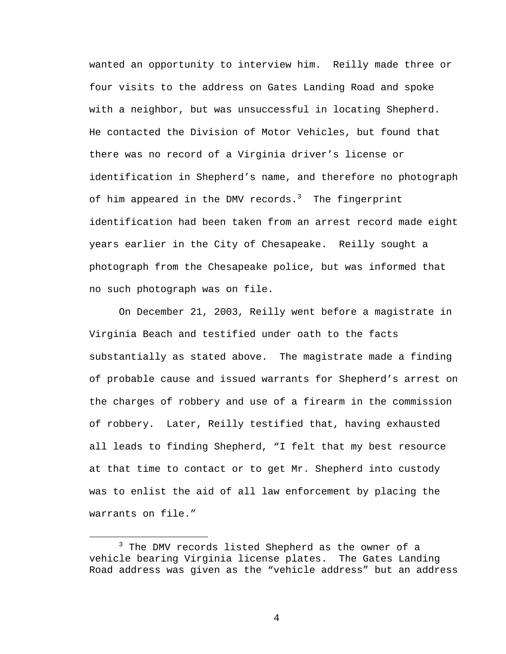wanted an opportunity to interview him. Reilly made three or four visits to the address on Gates Landing Road and spoke with a neighbor, but was unsuccessful in locating Shepherd. He contacted the Division of Motor Vehicles, but found that there was no record of a Virginia driver's license or identification in Shepherd's name, and therefore no photograph of him appeared in the DMV records.<sup>3</sup> The fingerprint identification had been taken from an arrest record made eight years earlier in the City of Chesapeake. Reilly sought a photograph from the Chesapeake police, but was informed that no such photograph was on file.

 On December 21, 2003, Reilly went before a magistrate in Virginia Beach and testified under oath to the facts substantially as stated above. The magistrate made a finding of probable cause and issued warrants for Shepherd's arrest on the charges of robbery and use of a firearm in the commission of robbery. Later, Reilly testified that, having exhausted all leads to finding Shepherd, "I felt that my best resource at that time to contact or to get Mr. Shepherd into custody was to enlist the aid of all law enforcement by placing the warrants on file."

 $\overline{\phantom{a}}$  3  $3$  The DMV records listed Shepherd as the owner of a vehicle bearing Virginia license plates. The Gates Landing Road address was given as the "vehicle address" but an address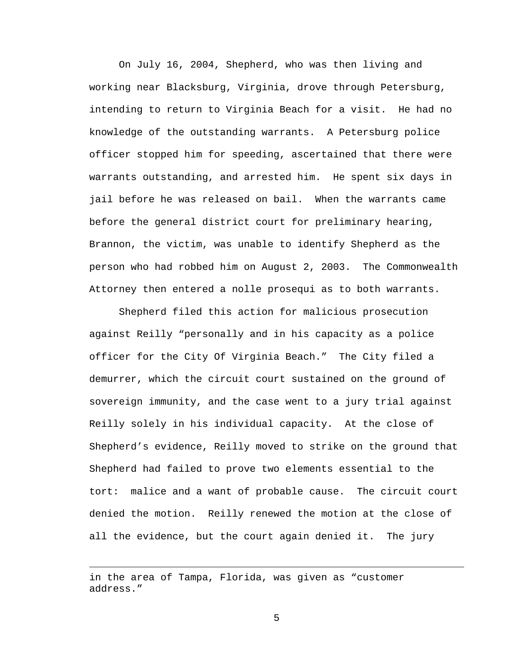On July 16, 2004, Shepherd, who was then living and working near Blacksburg, Virginia, drove through Petersburg, intending to return to Virginia Beach for a visit. He had no knowledge of the outstanding warrants. A Petersburg police officer stopped him for speeding, ascertained that there were warrants outstanding, and arrested him. He spent six days in jail before he was released on bail. When the warrants came before the general district court for preliminary hearing, Brannon, the victim, was unable to identify Shepherd as the person who had robbed him on August 2, 2003. The Commonwealth Attorney then entered a nolle prosequi as to both warrants.

 Shepherd filed this action for malicious prosecution against Reilly "personally and in his capacity as a police officer for the City Of Virginia Beach." The City filed a demurrer, which the circuit court sustained on the ground of sovereign immunity, and the case went to a jury trial against Reilly solely in his individual capacity. At the close of Shepherd's evidence, Reilly moved to strike on the ground that Shepherd had failed to prove two elements essential to the tort: malice and a want of probable cause. The circuit court denied the motion. Reilly renewed the motion at the close of all the evidence, but the court again denied it. The jury

i<br>Li

in the area of Tampa, Florida, was given as "customer address."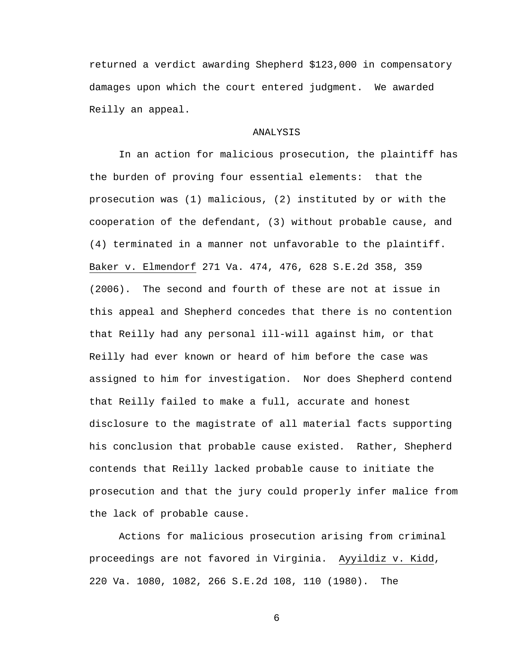returned a verdict awarding Shepherd \$123,000 in compensatory damages upon which the court entered judgment. We awarded Reilly an appeal.

## ANALYSIS

 In an action for malicious prosecution, the plaintiff has the burden of proving four essential elements: that the prosecution was (1) malicious, (2) instituted by or with the cooperation of the defendant, (3) without probable cause, and (4) terminated in a manner not unfavorable to the plaintiff. Baker v. Elmendorf 271 Va. 474, 476, 628 S.E.2d 358, 359 (2006). The second and fourth of these are not at issue in this appeal and Shepherd concedes that there is no contention that Reilly had any personal ill-will against him, or that Reilly had ever known or heard of him before the case was assigned to him for investigation. Nor does Shepherd contend that Reilly failed to make a full, accurate and honest disclosure to the magistrate of all material facts supporting his conclusion that probable cause existed. Rather, Shepherd contends that Reilly lacked probable cause to initiate the prosecution and that the jury could properly infer malice from the lack of probable cause.

 Actions for malicious prosecution arising from criminal proceedings are not favored in Virginia. Ayyildiz v. Kidd, 220 Va. 1080, 1082, 266 S.E.2d 108, 110 (1980). The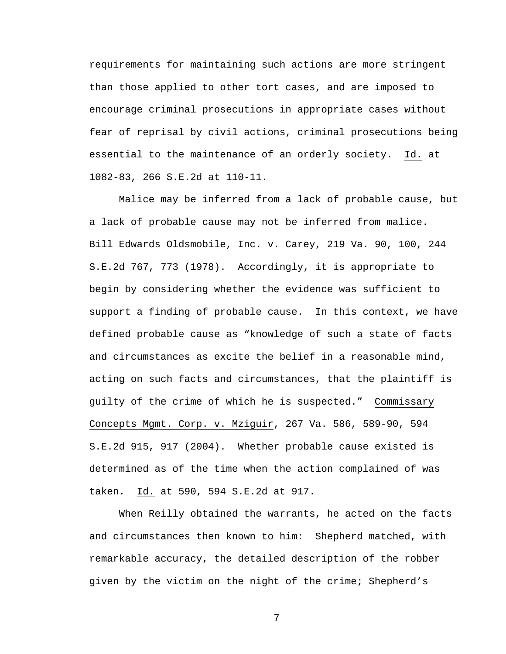requirements for maintaining such actions are more stringent than those applied to other tort cases, and are imposed to encourage criminal prosecutions in appropriate cases without fear of reprisal by civil actions, criminal prosecutions being essential to the maintenance of an orderly society. Id. at 1082-83, 266 S.E.2d at 110-11.

 Malice may be inferred from a lack of probable cause, but a lack of probable cause may not be inferred from malice. Bill Edwards Oldsmobile, Inc. v. Carey, 219 Va. 90, 100, 244 S.E.2d 767, 773 (1978). Accordingly, it is appropriate to begin by considering whether the evidence was sufficient to support a finding of probable cause. In this context, we have defined probable cause as "knowledge of such a state of facts and circumstances as excite the belief in a reasonable mind, acting on such facts and circumstances, that the plaintiff is guilty of the crime of which he is suspected." Commissary Concepts Mgmt. Corp. v. Mziguir, 267 Va. 586, 589-90, 594 S.E.2d 915, 917 (2004). Whether probable cause existed is determined as of the time when the action complained of was taken. Id. at 590, 594 S.E.2d at 917.

 When Reilly obtained the warrants, he acted on the facts and circumstances then known to him: Shepherd matched, with remarkable accuracy, the detailed description of the robber given by the victim on the night of the crime; Shepherd's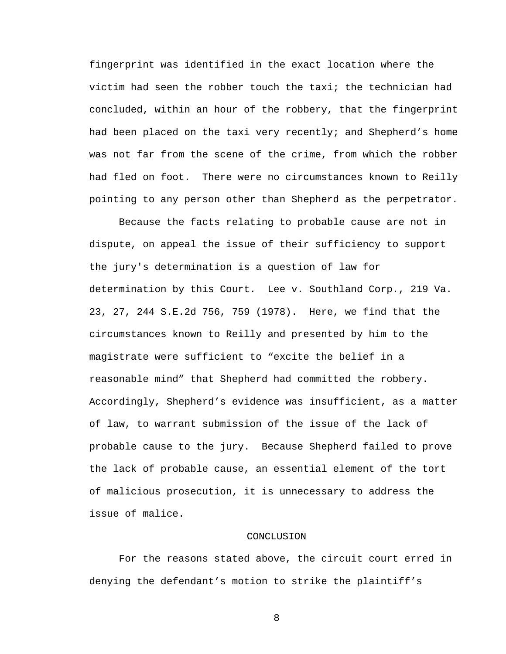fingerprint was identified in the exact location where the victim had seen the robber touch the taxi; the technician had concluded, within an hour of the robbery, that the fingerprint had been placed on the taxi very recently; and Shepherd's home was not far from the scene of the crime, from which the robber had fled on foot. There were no circumstances known to Reilly pointing to any person other than Shepherd as the perpetrator.

 Because the facts relating to probable cause are not in dispute, on appeal the issue of their sufficiency to support the jury's determination is a question of law for determination by this Court. Lee v. Southland Corp., 219 Va. 23, 27, 244 S.E.2d 756, 759 (1978). Here, we find that the circumstances known to Reilly and presented by him to the magistrate were sufficient to "excite the belief in a reasonable mind" that Shepherd had committed the robbery. Accordingly, Shepherd's evidence was insufficient, as a matter of law, to warrant submission of the issue of the lack of probable cause to the jury. Because Shepherd failed to prove the lack of probable cause, an essential element of the tort of malicious prosecution, it is unnecessary to address the issue of malice.

## CONCLUSION

 For the reasons stated above, the circuit court erred in denying the defendant's motion to strike the plaintiff's